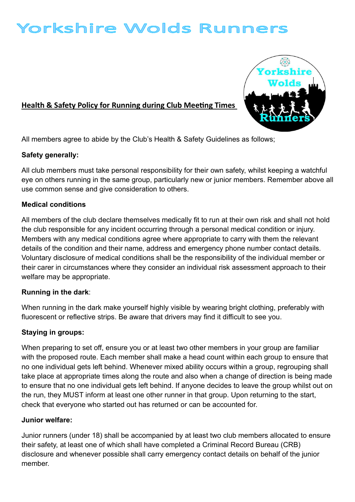# Yorkshire Wolds Runners

## Health & Safety Policy for Running during Club Meeting Times



All members agree to abide by the Club's Health & Safety Guidelines as follows;

## Safety generally:

All club members must take personal responsibility for their own safety, whilst keeping a watchful eye on others running in the same group, particularly new or junior members. Remember above all use common sense and give consideration to others.

#### Medical conditions

All members of the club declare themselves medically fit to run at their own risk and shall not hold the club responsible for any incident occurring through a personal medical condition or injury. Members with any medical conditions agree where appropriate to carry with them the relevant details of the condition and their name, address and emergency phone number contact details. Voluntary disclosure of medical conditions shall be the responsibility of the individual member or their carer in circumstances where they consider an individual risk assessment approach to their welfare may be appropriate.

## Running in the dark:

When running in the dark make yourself highly visible by wearing bright clothing, preferably with fluorescent or reflective strips. Be aware that drivers may find it difficult to see you.

## Staying in groups:

When preparing to set off, ensure you or at least two other members in your group are familiar with the proposed route. Each member shall make a head count within each group to ensure that no one individual gets left behind. Whenever mixed ability occurs within a group, regrouping shall take place at appropriate times along the route and also when a change of direction is being made to ensure that no one individual gets left behind. If anyone decides to leave the group whilst out on the run, they MUST inform at least one other runner in that group. Upon returning to the start, check that everyone who started out has returned or can be accounted for.

#### Junior welfare:

Junior runners (under 18) shall be accompanied by at least two club members allocated to ensure their safety, at least one of which shall have completed a Criminal Record Bureau (CRB) disclosure and whenever possible shall carry emergency contact details on behalf of the junior member.